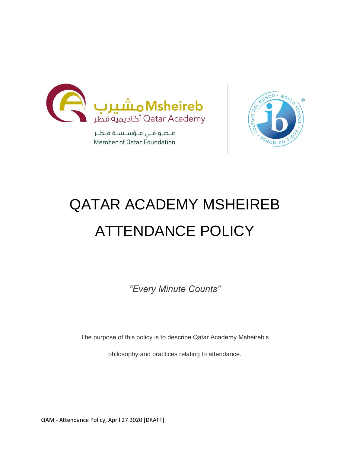

عضو فى مؤسسة قطر Member of Qatar Foundation



# QATAR ACADEMY MSHEIREB ATTENDANCE POLICY

*"Every Minute Counts"*

The purpose of this policy is to describe Qatar Academy Msheireb's

philosophy and practices relating to attendance.

QAM - Attendance Policy, April 27 2020 [DRAFT]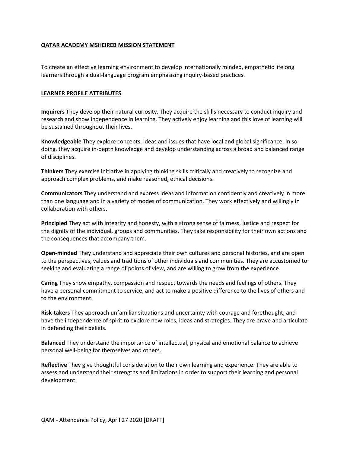### **QATAR ACADEMY MSHEIREB MISSION STATEMENT**

To create an effective learning environment to develop internationally minded, empathetic lifelong learners through a dual-language program emphasizing inquiry-based practices.

### **LEARNER PROFILE ATTRIBUTES**

**Inquirers** They develop their natural curiosity. They acquire the skills necessary to conduct inquiry and research and show independence in learning. They actively enjoy learning and this love of learning will be sustained throughout their lives.

**Knowledgeable** They explore concepts, ideas and issues that have local and global significance. In so doing, they acquire in-depth knowledge and develop understanding across a broad and balanced range of disciplines.

**Thinkers** They exercise initiative in applying thinking skills critically and creatively to recognize and approach complex problems, and make reasoned, ethical decisions.

**Communicators** They understand and express ideas and information confidently and creatively in more than one language and in a variety of modes of communication. They work effectively and willingly in collaboration with others.

**Principled** They act with integrity and honesty, with a strong sense of fairness, justice and respect for the dignity of the individual, groups and communities. They take responsibility for their own actions and the consequences that accompany them.

**Open-minded** They understand and appreciate their own cultures and personal histories, and are open to the perspectives, values and traditions of other individuals and communities. They are accustomed to seeking and evaluating a range of points of view, and are willing to grow from the experience.

**Caring** They show empathy, compassion and respect towards the needs and feelings of others. They have a personal commitment to service, and act to make a positive difference to the lives of others and to the environment.

**Risk-takers** They approach unfamiliar situations and uncertainty with courage and forethought, and have the independence of spirit to explore new roles, ideas and strategies. They are brave and articulate in defending their beliefs.

**Balanced** They understand the importance of intellectual, physical and emotional balance to achieve personal well-being for themselves and others.

**Reflective** They give thoughtful consideration to their own learning and experience. They are able to assess and understand their strengths and limitations in order to support their learning and personal development.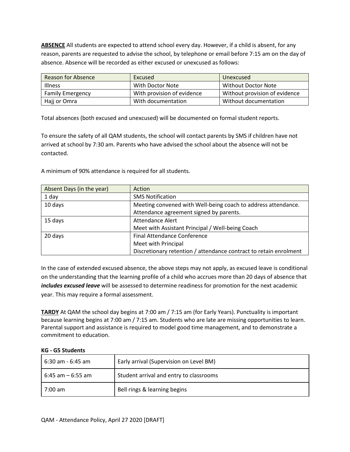**ABSENCE** All students are expected to attend school every day. However, if a child is absent, for any reason, parents are requested to advise the school, by telephone or email before 7:15 am on the day of absence. Absence will be recorded as either excused or unexcused as follows:

| <b>Reason for Absence</b> | Excused                    | Unexcused                     |
|---------------------------|----------------------------|-------------------------------|
| <b>Illness</b>            | With Doctor Note           | Without Doctor Note           |
| <b>Family Emergency</b>   | With provision of evidence | Without provision of evidence |
| Hajj or Omra              | With documentation         | Without documentation         |

Total absences (both excused and unexcused) will be documented on formal student reports.

To ensure the safety of all QAM students, the school will contact parents by SMS if children have not arrived at school by 7:30 am. Parents who have advised the school about the absence will not be contacted.

A minimum of 90% attendance is required for all students.

| Absent Days (in the year) | Action                                                            |
|---------------------------|-------------------------------------------------------------------|
| 1 day                     | <b>SMS Notification</b>                                           |
| 10 days                   | Meeting convened with Well-being coach to address attendance.     |
|                           | Attendance agreement signed by parents.                           |
| 15 days                   | <b>Attendance Alert</b>                                           |
|                           | Meet with Assistant Principal / Well-being Coach                  |
| 20 days                   | <b>Final Attendance Conference</b>                                |
|                           | Meet with Principal                                               |
|                           | Discretionary retention / attendance contract to retain enrolment |

In the case of extended excused absence, the above steps may not apply, as excused leave is conditional on the understanding that the learning profile of a child who accrues more than 20 days of absence that *includes excused leave* will be assessed to determine readiness for promotion for the next academic year. This may require a formal assessment.

**TARDY** At QAM the school day begins at 7:00 am / 7:15 am (for Early Years). Punctuality is important because learning begins at 7:00 am / 7:15 am. Students who are late are missing opportunities to learn. Parental support and assistance is required to model good time management, and to demonstrate a commitment to education.

### **KG - G5 Students**

| 6:30 am - 6:45 am    | Early arrival (Supervision on Level BM) |
|----------------------|-----------------------------------------|
| $6:45$ am $-6:55$ am | Student arrival and entry to classrooms |
| 7:00 am              | Bell rings & learning begins            |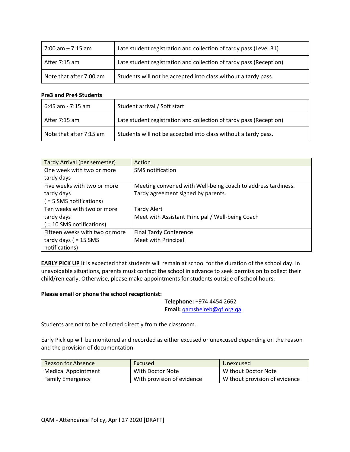| $7:00$ am $-7:15$ am    | Late student registration and collection of tardy pass (Level B1)  |
|-------------------------|--------------------------------------------------------------------|
| After 7:15 am           | Late student registration and collection of tardy pass (Reception) |
| Note that after 7:00 am | Students will not be accepted into class without a tardy pass.     |

#### **Pre3 and Pre4 Students**

| 6:45 am - 7:15 am       | Student arrival / Soft start                                       |
|-------------------------|--------------------------------------------------------------------|
| After 7:15 am           | Late student registration and collection of tardy pass (Reception) |
| Note that after 7:15 am | Students will not be accepted into class without a tardy pass.     |

| Tardy Arrival (per semester)   | Action                                                       |
|--------------------------------|--------------------------------------------------------------|
| One week with two or more      | <b>SMS</b> notification                                      |
| tardy days                     |                                                              |
| Five weeks with two or more    | Meeting convened with Well-being coach to address tardiness. |
| tardy days                     | Tardy agreement signed by parents.                           |
| = 5 SMS notifications)         |                                                              |
| Ten weeks with two or more     | <b>Tardy Alert</b>                                           |
| tardy days                     | Meet with Assistant Principal / Well-being Coach             |
| = 10 SMS notifications)        |                                                              |
| Fifteen weeks with two or more | <b>Final Tardy Conference</b>                                |
| tardy days ( $= 15$ SMS        | Meet with Principal                                          |
| notifications)                 |                                                              |

**EARLY PICK UP** It is expected that students will remain at school for the duration of the school day. In unavoidable situations, parents must contact the school in advance to seek permission to collect their child/ren early. Otherwise, please make appointments for students outside of school hours.

### **Please email or phone the school receptionist:**

**Telephone:** +974 4454 2662 **Email:** [qamsheireb@qf.org.qa.](mailto:qamsheireb@qf.org.qa)

Students are not to be collected directly from the classroom.

Early Pick up will be monitored and recorded as either excused or unexcused depending on the reason and the provision of documentation.

| Reason for Absence         | Excused                    | Unexcused                     |
|----------------------------|----------------------------|-------------------------------|
| <b>Medical Appointment</b> | With Doctor Note           | Without Doctor Note           |
| <b>Family Emergency</b>    | With provision of evidence | Without provision of evidence |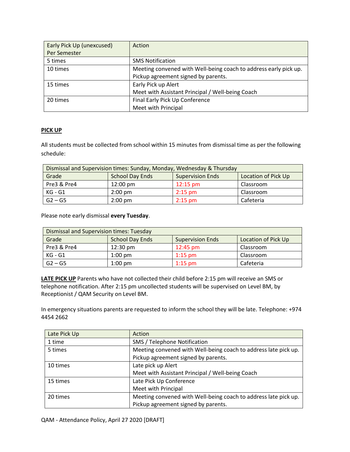| Early Pick Up (unexcused) | Action                                                           |
|---------------------------|------------------------------------------------------------------|
| Per Semester              |                                                                  |
| 5 times                   | <b>SMS Notification</b>                                          |
| 10 times                  | Meeting convened with Well-being coach to address early pick up. |
|                           | Pickup agreement signed by parents.                              |
| 15 times                  | Early Pick up Alert                                              |
|                           | Meet with Assistant Principal / Well-being Coach                 |
| 20 times                  | Final Early Pick Up Conference                                   |
|                           | Meet with Principal                                              |

## **PICK UP**

All students must be collected from school within 15 minutes from dismissal time as per the following schedule:

| Dismissal and Supervision times: Sunday, Monday, Wednesday & Thursday |                        |                         |                     |
|-----------------------------------------------------------------------|------------------------|-------------------------|---------------------|
| Grade                                                                 | <b>School Day Ends</b> | <b>Supervision Ends</b> | Location of Pick Up |
| Pre3 & Pre4                                                           | $12:00 \text{ pm}$     | $12:15 \text{ pm}$      | Classroom           |
| KG - G1                                                               | $2:00 \text{ pm}$      | $2:15$ pm               | Classroom           |
| $G2 - G5$                                                             | $2:00 \text{ pm}$      | $2:15 \text{ pm}$       | Cafeteria           |

Please note early dismissal **every Tuesday**.

| Dismissal and Supervision times: Tuesday |                        |                         |                     |
|------------------------------------------|------------------------|-------------------------|---------------------|
| Grade                                    | <b>School Day Ends</b> | <b>Supervision Ends</b> | Location of Pick Up |
| Pre3 & Pre4                              | $12:30 \text{ pm}$     | $12:45 \text{ pm}$      | Classroom           |
| KG - G1                                  | $1:00$ pm              | $1:15$ pm               | Classroom           |
| $G2 - G5$                                | $1:00$ pm              | $1:15$ pm               | Cafeteria           |

**LATE PICK UP** Parents who have not collected their child before 2:15 pm will receive an SMS or telephone notification. After 2:15 pm uncollected students will be supervised on Level BM, by Receptionist / QAM Security on Level BM.

In emergency situations parents are requested to inform the school they will be late. Telephone: +974 4454 2662

| Late Pick Up | Action                                                          |
|--------------|-----------------------------------------------------------------|
| 1 time       | SMS / Telephone Notification                                    |
| 5 times      | Meeting convened with Well-being coach to address late pick up. |
|              | Pickup agreement signed by parents.                             |
| 10 times     | Late pick up Alert                                              |
|              | Meet with Assistant Principal / Well-being Coach                |
| 15 times     | Late Pick Up Conference                                         |
|              | Meet with Principal                                             |
| 20 times     | Meeting convened with Well-being coach to address late pick up. |
|              | Pickup agreement signed by parents.                             |